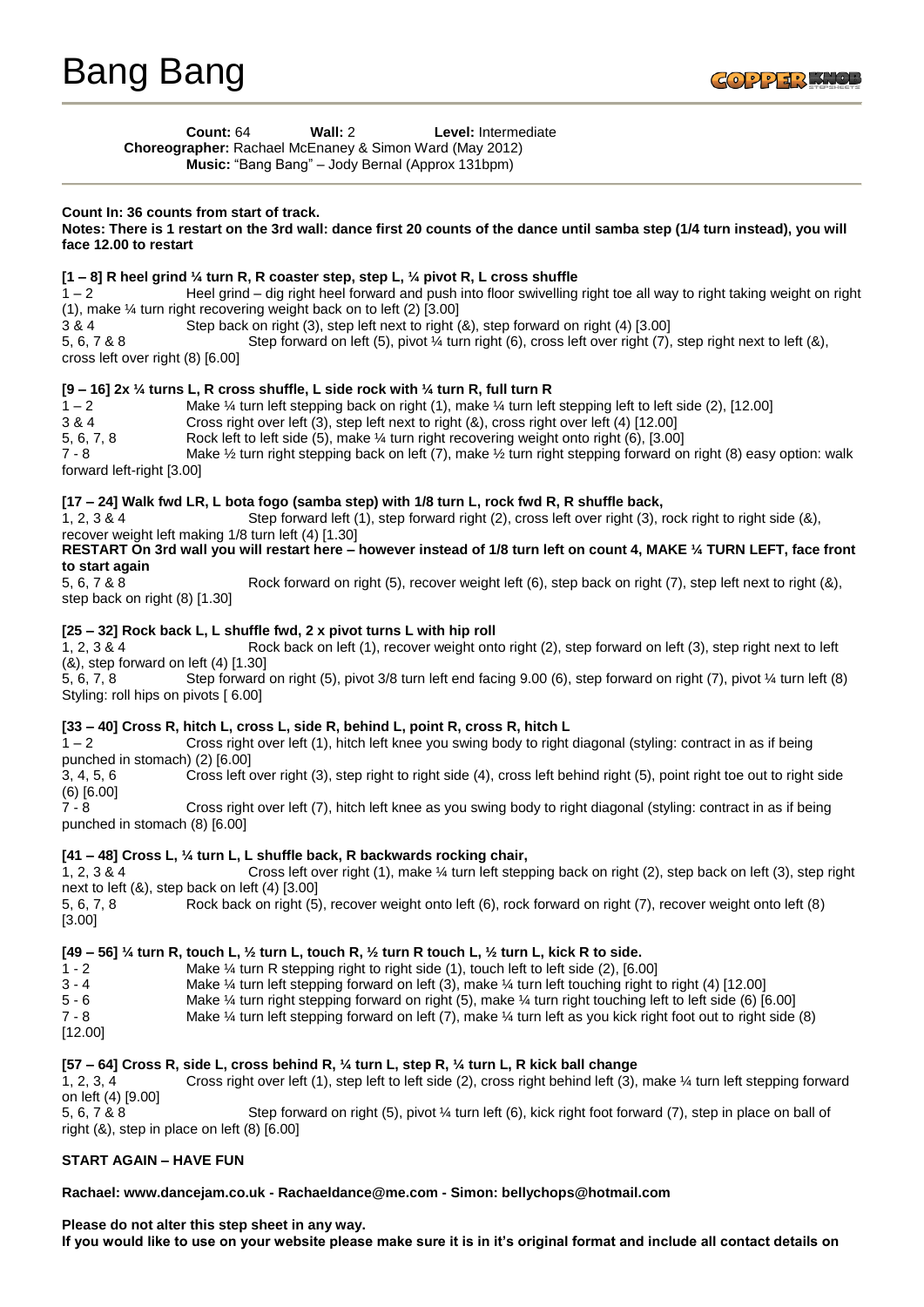**Count:** 64 **Wall:** 2 **Level:** Intermediate **Choreographer:** Rachael McEnaney & Simon Ward (May 2012) **Music:** "Bang Bang" – Jody Bernal (Approx 131bpm)

### **Count In: 36 counts from start of track.**

**Notes: There is 1 restart on the 3rd wall: dance first 20 counts of the dance until samba step (1/4 turn instead), you will face 12.00 to restart**

## **[1 – 8] R heel grind ¼ turn R, R coaster step, step L, ¼ pivot R, L cross shuffle**

1 – 2 Heel grind – dig right heel forward and push into floor swivelling right toe all way to right taking weight on right (1), make ¼ turn right recovering weight back on to left (2) [3.00]

3 & 4 Step back on right (3), step left next to right (&), step forward on right (4) [3.00]

5, 6, 7 & 8 Step forward on left (5), pivot ¼ turn right (6), cross left over right (7), step right next to left (&), cross left over right (8) [6.00]

## **[9 – 16] 2x ¼ turns L, R cross shuffle, L side rock with ¼ turn R, full turn R**

1 – 2 Make ¼ turn left stepping back on right (1), make ¼ turn left stepping left to left side (2), [12.00] 3 & 4 Cross right over left (3), step left next to right (&), cross right over left (4) [12.00] 5, 6, 7, 8 Rock left to left side (5), make ¼ turn right recovering weight onto right (6), [3.00]<br>7 - 8 Make ½ turn right stepping back on left (7), make ½ turn right stepping forward or Make  $\frac{1}{2}$  turn right stepping back on left (7), make  $\frac{1}{2}$  turn right stepping forward on right (8) easy option: walk forward left-right [3.00]

# **[17 – 24] Walk fwd LR, L bota fogo (samba step) with 1/8 turn L, rock fwd R, R shuffle back,**

1, 2, 3 & 4 Step forward left (1), step forward right (2), cross left over right (3), rock right to right side (&), recover weight left making 1/8 turn left (4) [1.30]

**RESTART On 3rd wall you will restart here – however instead of 1/8 turn left on count 4, MAKE ¼ TURN LEFT, face front to start again**

5, 6, 7 & 8 Rock forward on right (5), recover weight left (6), step back on right (7), step left next to right (8), step back on right (8) [1.30]

## **[25 – 32] Rock back L, L shuffle fwd, 2 x pivot turns L with hip roll**

1, 2, 3 & 4 Rock back on left (1), recover weight onto right (2), step forward on left (3), step right next to left (&), step forward on left (4) [1.30]

5, 6, 7, 8 Step forward on right (5), pivot 3/8 turn left end facing 9.00 (6), step forward on right (7), pivot ¼ turn left (8) Styling: roll hips on pivots [ 6.00]

# **[33 – 40] Cross R, hitch L, cross L, side R, behind L, point R, cross R, hitch L**

1 – 2 Cross right over left (1), hitch left knee you swing body to right diagonal (styling: contract in as if being punched in stomach) (2) [6.00]

3, 4, 5, 6 Cross left over right (3), step right to right side (4), cross left behind right (5), point right toe out to right side  $(6)$   $[6.00]$ <br>7 - 8

Cross right over left (7), hitch left knee as you swing body to right diagonal (styling: contract in as if being punched in stomach (8) [6.00]

# **[41 – 48] Cross L, ¼ turn L, L shuffle back, R backwards rocking chair,**

1, 2, 3 & 4 Cross left over right (1), make ¼ turn left stepping back on right (2), step back on left (3), step right next to left (&), step back on left (4) [3.00] 5, 6, 7, 8 Rock back on right (5), recover weight onto left (6), rock forward on right (7), recover weight onto left (8)

### **[49 – 56] ¼ turn R, touch L, ½ turn L, touch R, ½ turn R touch L, ½ turn L, kick R to side.**

1 - 2 Make ¼ turn R stepping right to right side (1), touch left to left side (2), [6.00]

3 - 4 Make ¼ turn left stepping forward on left (3), make ¼ turn left touching right to right (4) [12.00]

5 - 6 Make ¼ turn right stepping forward on right (5), make ¼ turn right touching left to left side (6) [6.00] Make  $\frac{1}{4}$  turn left stepping forward on left (7), make  $\frac{1}{4}$  turn left as you kick right foot out to right side (8)

[12.00]

[3.00]

### **[57 – 64] Cross R, side L, cross behind R, ¼ turn L, step R, ¼ turn L, R kick ball change**

1, 2, 3, 4 Cross right over left (1), step left to left side (2), cross right behind left (3), make ¼ turn left stepping forward on left (4) [9.00] 5, 6, 7 & 8 Step forward on right (5), pivot ¼ turn left (6), kick right foot forward (7), step in place on ball of

right  $(8)$ , step in place on left  $(8)$   $[6.00]$ 

# **START AGAIN – HAVE FUN**

### **Rachael: www.dancejam.co.uk - Rachaeldance@me.com - Simon: bellychops@hotmail.com**

**Please do not alter this step sheet in any way. If you would like to use on your website please make sure it is in it's original format and include all contact details on**